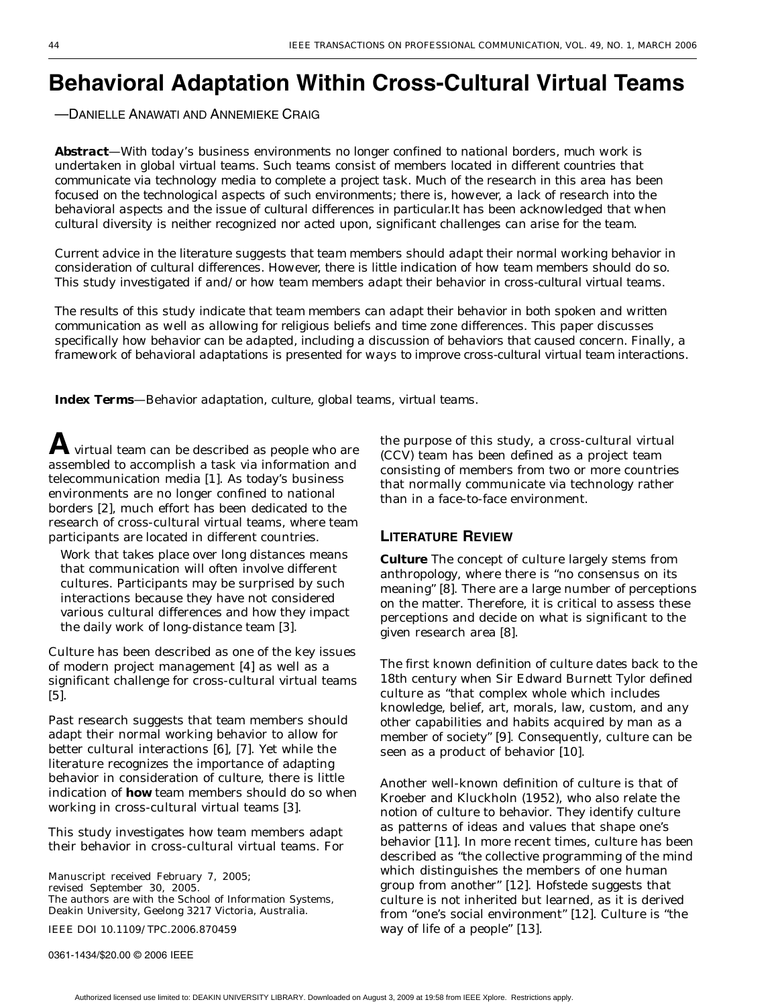# **Behavioral Adaptation Within Cross-Cultural Virtual Teams**

—DANIELLE ANAWATI AND ANNEMIEKE CRAIG

*Abstract—With today's business environments no longer confined to national borders, much work is undertaken in global virtual teams. Such teams consist of members located in different countries that communicate via technology media to complete a project task. Much of the research in this area has been focused on the technological aspects of such environments; there is, however, a lack of research into the behavioral aspects and the issue of cultural differences in particular.It has been acknowledged that when cultural diversity is neither recognized nor acted upon, significant challenges can arise for the team.*

*Current advice in the literature suggests that team members should adapt their normal working behavior in consideration of cultural differences. However, there is little indication of how team members should do so. This study investigated if and/or how team members adapt their behavior in cross-cultural virtual teams.*

*The results of this study indicate that team members can adapt their behavior in both spoken and written communication as well as allowing for religious beliefs and time zone differences. This paper discusses specifically how behavior can be adapted, including a discussion of behaviors that caused concern. Finally, a framework of behavioral adaptations is presented for ways to improve cross-cultural virtual team interactions.*

*Index Terms—Behavior adaptation, culture, global teams, virtual teams.*

virtual team can be described as people who are assembled to accomplish a task via information and telecommunication media [\[1\]](#page-11-0). As today's business environments are no longer confined to national borders [[2\]](#page-11-0), much effort has been dedicated to the research of cross-cultural virtual teams, where team participants are located in different countries.

Work that takes place over long distances means that communication will often involve different cultures. Participants may be surprised by such interactions because they have not considered various cultural differences and how they impact the daily work of long-distance team [\[3](#page-11-0)].

Culture has been described as one of the key issues of modern project management [\[4](#page-11-0)] as well as a significant challenge for cross-cultural virtual teams [[5\]](#page-11-0).

Past research suggests that team members should adapt their normal working behavior to allow for better cultural interactions [[6](#page-11-0)], [[7\]](#page-11-0). Yet while the literature recognizes the importance of adapting behavior in consideration of culture, there is little indication of **how** team members should do so when working in cross-cultural virtual teams [[3\]](#page-11-0).

This study investigates how team members adapt their behavior in cross-cultural virtual teams. For

Manuscript received February 7, 2005; revised September 30, 2005. The authors are with the School of Information Systems, Deakin University, Geelong 3217 Victoria, Australia.

IEEE DOI 10.1109/TPC.2006.870459

0361-1434/\$20.00 © 2006 IEEE

the purpose of this study, a cross-cultural virtual (CCV) team has been defined as a project team consisting of members from two or more countries that normally communicate via technology rather than in a face-to-face environment.

#### **LITERATURE REVIEW**

**Culture** The concept of culture largely stems from anthropology, where there is "no consensus on its meaning" [[8\]](#page-11-0). There are a large number of perceptions on the matter. Therefore, it is critical to assess these perceptions and decide on what is significant to the given research area [\[8](#page-11-0)].

The first known definition of culture dates back to the 18th century when Sir Edward Burnett Tylor defined culture as "that complex whole which includes knowledge, belief, art, morals, law, custom, and any other capabilities and habits acquired by man as a member of society" [[9\]](#page-11-0). Consequently, culture can be seen as a product of behavior [[10\]](#page-11-0).

Another well-known definition of culture is that of Kroeber and Kluckholn (1952), who also relate the notion of culture to behavior. They identify culture as patterns of ideas and values that shape one's behavior [\[11\]](#page-11-0). In more recent times, culture has been described as "the collective programming of the mind which distinguishes the members of one human group from another" [[12\]](#page-11-0). Hofstede suggests that culture is not inherited but learned, as it is derived from "one's social environment" [\[12\]](#page-11-0). Culture is "the way of life of a people" [[13](#page-11-0)].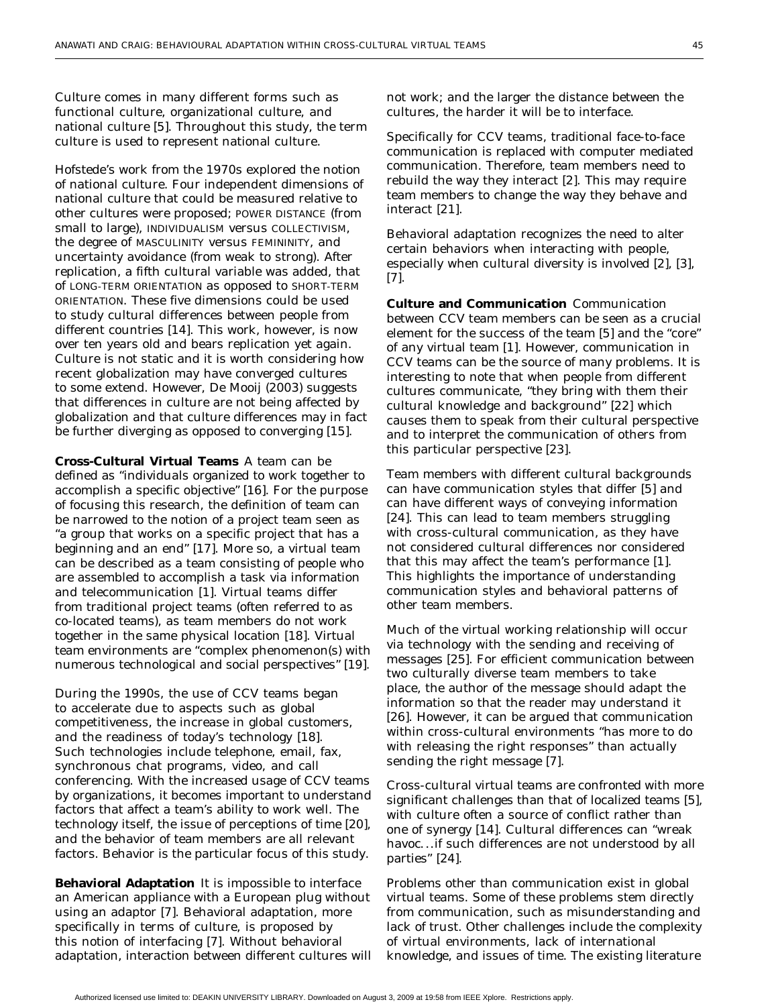Culture comes in many different forms such as functional culture, organizational culture, and national culture [[5\]](#page-11-0). Throughout this study, the term culture is used to represent national culture.

Hofstede's work from the 1970s explored the notion of national culture. Four independent dimensions of national culture that could be measured relative to other cultures were proposed; POWER DISTANCE (from small to large), INDIVIDUALISM versus COLLECTIVISM, the degree of MASCULINITY versus FEMININITY, and uncertainty avoidance (from weak to strong). After replication, a fifth cultural variable was added, that of LONG-TERM ORIENTATION as opposed to SHORT-TERM ORIENTATION. These five dimensions could be used to study cultural differences between people from different countries [[14\]](#page-11-0). This work, however, is now over ten years old and bears replication yet again. Culture is not static and it is worth considering how recent globalization may have converged cultures to some extend. However, De Mooij (2003) suggests that differences in culture are not being affected by globalization and that culture differences may in fact be further diverging as opposed to converging [[15\]](#page-11-0).

**Cross-Cultural Virtual Teams** A team can be defined as "individuals organized to work together to accomplish a specific objective" [\[16](#page-11-0)]. For the purpose of focusing this research, the definition of team can be narrowed to the notion of a project team seen as "a group that works on a specific project that has a beginning and an end" [[17](#page-11-0)]. More so, a virtual team can be described as a team consisting of people who are assembled to accomplish a task via information and telecommunication [\[1](#page-11-0)]. Virtual teams differ from traditional project teams (often referred to as co-located teams), as team members do not work together in the same physical location [[18\]](#page-11-0). Virtual team environments are "complex phenomenon(s) with numerous technological and social perspectives" [[19](#page-11-0)].

During the 1990s, the use of CCV teams began to accelerate due to aspects such as global competitiveness, the increase in global customers, and the readiness of today's technology [[18\]](#page-11-0). Such technologies include telephone, email, fax, synchronous chat programs, video, and call conferencing. With the increased usage of CCV teams by organizations, it becomes important to understand factors that affect a team's ability to work well. The technology itself, the issue of perceptions of time [\[20](#page-11-0)], and the behavior of team members are all relevant factors. Behavior is the particular focus of this study.

**Behavioral Adaptation** It is impossible to interface an American appliance with a European plug without using an adaptor [\[7](#page-11-0)]. Behavioral adaptation, more specifically in terms of culture, is proposed by this notion of interfacing [[7](#page-11-0)]. Without behavioral adaptation, interaction between different cultures will not work; and the larger the distance between the cultures, the harder it will be to interface.

Specifically for CCV teams, traditional face-to-face communication is replaced with computer mediated communication. Therefore, team members need to rebuild the way they interact [\[2](#page-11-0)]. This may require team members to change the way they behave and interact [[21](#page-11-0)].

Behavioral adaptation recognizes the need to alter certain behaviors when interacting with people, especially when cultural diversity is involved [\[2](#page-11-0)], [\[3](#page-11-0)], [\[7](#page-11-0)].

**Culture and Communication** Communication between CCV team members can be seen as a crucial element for the success of the team [\[5](#page-11-0)] and the "core" of any virtual team [[1\]](#page-11-0). However, communication in CCV teams can be the source of many problems. It is interesting to note that when people from different cultures communicate, "they bring with them their cultural knowledge and background" [[22](#page-12-0)] which causes them to speak from their cultural perspective and to interpret the communication of others from this particular perspective [\[23](#page-12-0)].

Team members with different cultural backgrounds can have communication styles that differ [\[5](#page-11-0)] and can have different ways of conveying information [\[24\]](#page-12-0). This can lead to team members struggling with cross-cultural communication, as they have not considered cultural differences nor considered that this may affect the team's performance [\[1](#page-11-0)]. This highlights the importance of understanding communication styles and behavioral patterns of other team members.

Much of the virtual working relationship will occur via technology with the sending and receiving of messages [[25](#page-12-0)]. For efficient communication between two culturally diverse team members to take place, the author of the message should adapt the information so that the reader may understand it [\[26\]](#page-12-0). However, it can be argued that communication within cross-cultural environments "has more to do with releasing the right responses" than actually sending the right message [[7](#page-11-0)].

Cross-cultural virtual teams are confronted with more significant challenges than that of localized teams [\[5](#page-11-0)], with culture often a source of conflict rather than one of synergy [\[14](#page-11-0)]. Cultural differences can "wreak havoc...if such differences are not understood by all parties" [\[24](#page-12-0)].

Problems other than communication exist in global virtual teams. Some of these problems stem directly from communication, such as misunderstanding and lack of trust. Other challenges include the complexity of virtual environments, lack of international knowledge, and issues of time. The existing literature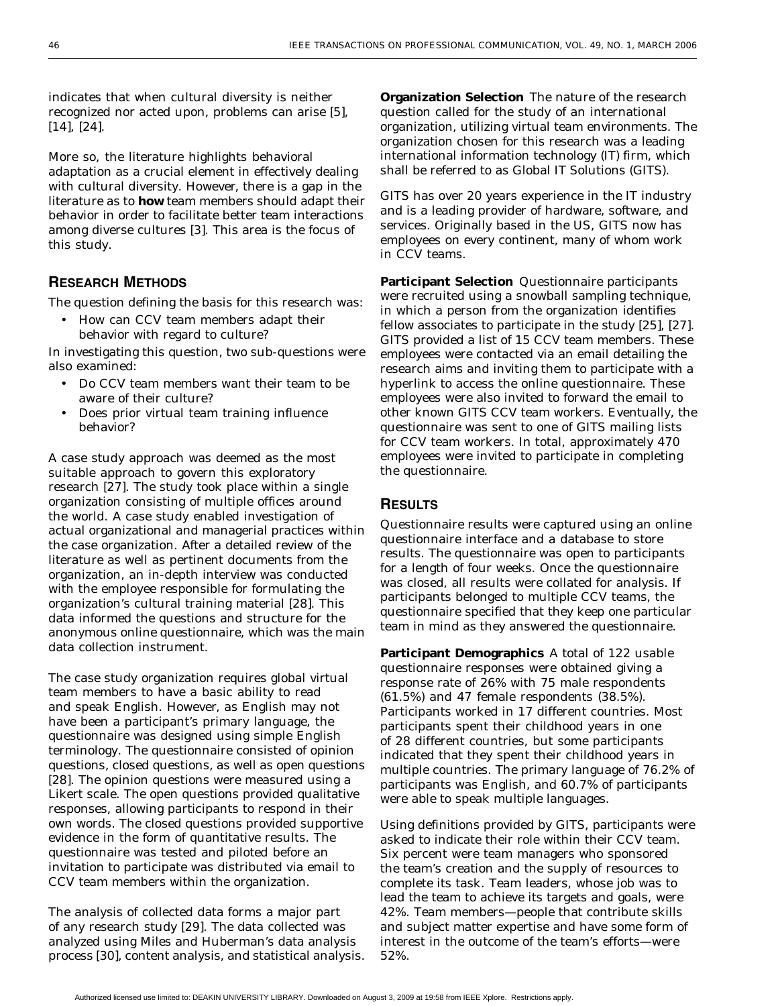indicates that when cultural diversity is neither recognized nor acted upon, problems can arise [[5](#page-11-0)], [[14\]](#page-11-0), [[24\]](#page-12-0).

More so, the literature highlights behavioral adaptation as a crucial element in effectively dealing with cultural diversity. However, there is a gap in the literature as to **how** team members should adapt their behavior in order to facilitate better team interactions among diverse cultures [[3](#page-11-0)]. This area is the focus of this study.

# **RESEARCH METHODS**

The question defining the basis for this research was:

• How can CCV team members adapt their behavior with regard to culture?

In investigating this question, two sub-questions were also examined:

- Do CCV team members want their team to be aware of their culture?
- Does prior virtual team training influence behavior?

A case study approach was deemed as the most suitable approach to govern this exploratory research [\[27\]](#page-12-0). The study took place within a single organization consisting of multiple offices around the world. A case study enabled investigation of actual organizational and managerial practices within the case organization. After a detailed review of the literature as well as pertinent documents from the organization, an in-depth interview was conducted with the employee responsible for formulating the organization's cultural training material [\[28\]](#page-12-0). This data informed the questions and structure for the anonymous online questionnaire, which was the main data collection instrument.

The case study organization requires global virtual team members to have a basic ability to read and speak English. However, as English may not have been a participant's primary language, the questionnaire was designed using simple English terminology. The questionnaire consisted of opinion questions, closed questions, as well as open questions [[28\]](#page-12-0). The opinion questions were measured using a Likert scale. The open questions provided qualitative responses, allowing participants to respond in their own words. The closed questions provided supportive evidence in the form of quantitative results. The questionnaire was tested and piloted before an invitation to participate was distributed via email to CCV team members within the organization.

The analysis of collected data forms a major part of any research study [[29](#page-12-0)]. The data collected was analyzed using Miles and Huberman's data analysis process [\[30](#page-12-0)], content analysis, and statistical analysis.

**Organization Selection** The nature of the research question called for the study of an international organization, utilizing virtual team environments. The organization chosen for this research was a leading international information technology (IT) firm, which shall be referred to as Global IT Solutions (GITS).

GITS has over 20 years experience in the IT industry and is a leading provider of hardware, software, and services. Originally based in the US, GITS now has employees on every continent, many of whom work in CCV teams.

**Participant Selection** Questionnaire participants were recruited using a snowball sampling technique, in which a person from the organization identifies fellow associates to participate in the study [[25](#page-12-0)], [\[27\]](#page-12-0). GITS provided a list of 15 CCV team members. These employees were contacted via an email detailing the research aims and inviting them to participate with a hyperlink to access the online questionnaire. These employees were also invited to forward the email to other known GITS CCV team workers. Eventually, the questionnaire was sent to one of GITS mailing lists for CCV team workers. In total, approximately 470 employees were invited to participate in completing the questionnaire.

# **RESULTS**

Questionnaire results were captured using an online questionnaire interface and a database to store results. The questionnaire was open to participants for a length of four weeks. Once the questionnaire was closed, all results were collated for analysis. If participants belonged to multiple CCV teams, the questionnaire specified that they keep one particular team in mind as they answered the questionnaire.

**Participant Demographics** A total of 122 usable questionnaire responses were obtained giving a response rate of 26% with 75 male respondents (61.5%) and 47 female respondents (38.5%). Participants worked in 17 different countries. Most participants spent their childhood years in one of 28 different countries, but some participants indicated that they spent their childhood years in multiple countries. The primary language of 76.2% of participants was English, and 60.7% of participants were able to speak multiple languages.

Using definitions provided by GITS, participants were asked to indicate their role within their CCV team. Six percent were team managers who sponsored the team's creation and the supply of resources to complete its task. Team leaders, whose job was to lead the team to achieve its targets and goals, were 42%. Team members—people that contribute skills and subject matter expertise and have some form of interest in the outcome of the team's efforts—were 52%.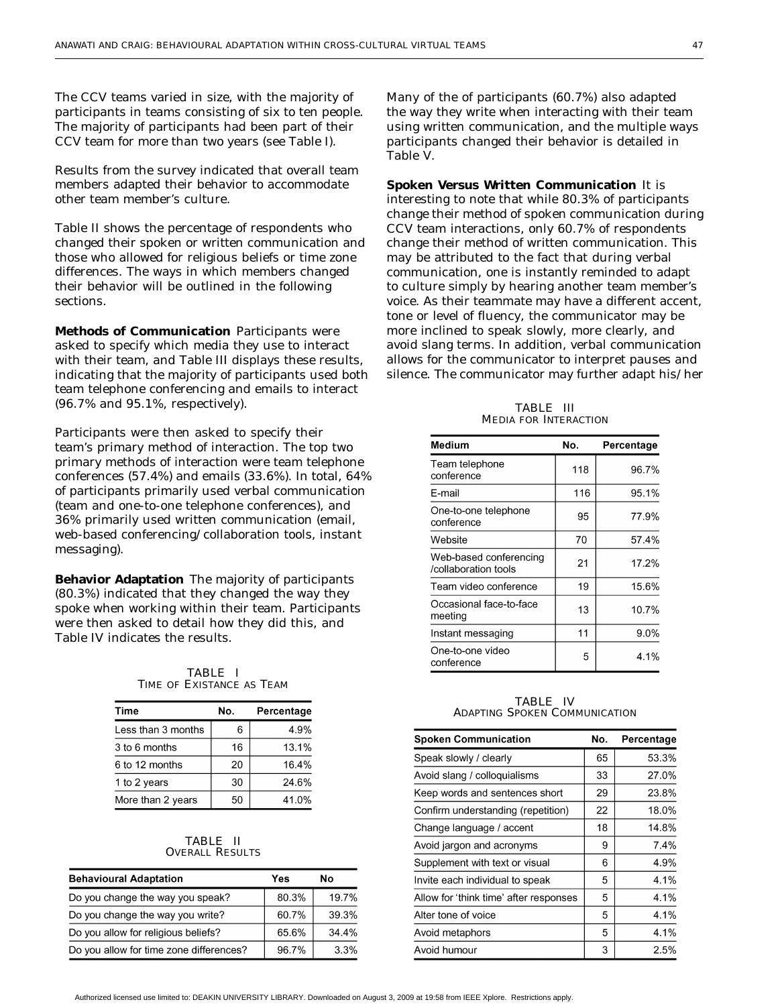The CCV teams varied in size, with the majority of participants in teams consisting of six to ten people. The majority of participants had been part of their CCV team for more than two years (see Table I).

Results from the survey indicated that overall team members adapted their behavior to accommodate other team member's culture.

Table II shows the percentage of respondents who changed their spoken or written communication and those who allowed for religious beliefs or time zone differences. The ways in which members changed their behavior will be outlined in the following sections.

**Methods of Communication** Participants were asked to specify which media they use to interact with their team, and Table III displays these results, indicating that the majority of participants used both team telephone conferencing and emails to interact (96.7% and 95.1%, respectively).

Participants were then asked to specify their team's primary method of interaction. The top two primary methods of interaction were team telephone conferences (57.4%) and emails (33.6%). In total, 64% of participants primarily used verbal communication (team and one-to-one telephone conferences), and 36% primarily used written communication (email, web-based conferencing/collaboration tools, instant messaging).

**Behavior Adaptation** The majority of participants (80.3%) indicated that they changed the way they spoke when working within their team. Participants were then asked to detail how they did this, and Table IV indicates the results.

TABLE I TIME OF EXISTANCE AS TEAM

| Time               | No. | Percentage |
|--------------------|-----|------------|
| Less than 3 months | 6   | 4.9%       |
| 3 to 6 months      | 16  | 13.1%      |
| 6 to 12 months     | 20  | 16.4%      |
| 1 to 2 years       | 30  | 24.6%      |
| More than 2 years  | 50  | 41.0%      |

#### TABLE II OVERALL RESULTS

| <b>Behavioural Adaptation</b>           | Yes   | Nο      |
|-----------------------------------------|-------|---------|
| Do you change the way you speak?        | 80.3% | 19.7%   |
| Do you change the way you write?        | 60.7% | 39.3%   |
| Do you allow for religious beliefs?     | 65.6% | 34.4%   |
| Do you allow for time zone differences? | 96.7% | $3.3\%$ |

Many of the of participants (60.7%) also adapted the way they write when interacting with their team using written communication, and the multiple ways participants changed their behavior is detailed in Table V.

**Spoken Versus Written Communication** It is interesting to note that while 80.3% of participants change their method of spoken communication during CCV team interactions, only 60.7% of respondents change their method of written communication. This may be attributed to the fact that during verbal communication, one is instantly reminded to adapt to culture simply by hearing another team member's voice. As their teammate may have a different accent, tone or level of fluency, the communicator may be more inclined to speak slowly, more clearly, and avoid slang terms. In addition, verbal communication allows for the communicator to interpret pauses and silence. The communicator may further adapt his/her

| NEDIA FOR INTERACTION                          |     |            |
|------------------------------------------------|-----|------------|
| Medium                                         | No. | Percentage |
| Team telephone<br>conference                   | 118 | 96.7%      |
| E-mail                                         | 116 | 95.1%      |
| One-to-one telephone<br>conference             | 95  | 77.9%      |
| Website                                        | 70  | 57.4%      |
| Web-based conferencing<br>/collaboration tools | 21  | 17.2%      |
| Team video conference                          | 19  | 15.6%      |
| Occasional face-to-face<br>meeting             | 13  | 10.7%      |
| Instant messaging                              | 11  | $9.0\%$    |
| One-to-one video<br>conference                 | 5   | 4.1%       |

TABLE III MEDIA FOR INTERACTION

TABLE IV ADAPTING SPOKEN COMMUNICATION

| <b>Spoken Communication</b>            | No. | Percentage |
|----------------------------------------|-----|------------|
| Speak slowly / clearly                 | 65  | 53.3%      |
| Avoid slang / colloquialisms           | 33  | 27.0%      |
| Keep words and sentences short         | 29  | 23.8%      |
| Confirm understanding (repetition)     | 22  | 18.0%      |
| Change language / accent               | 18  | 14.8%      |
| Avoid jargon and acronyms              | 9   | 7.4%       |
| Supplement with text or visual         | 6   | 4.9%       |
| Invite each individual to speak        | 5   | 4.1%       |
| Allow for 'think time' after responses |     | 4.1%       |
| Alter tone of voice                    |     | 4.1%       |
| Avoid metaphors                        | 5   | 4.1%       |
| Avoid humour                           | 3   | 2.5%       |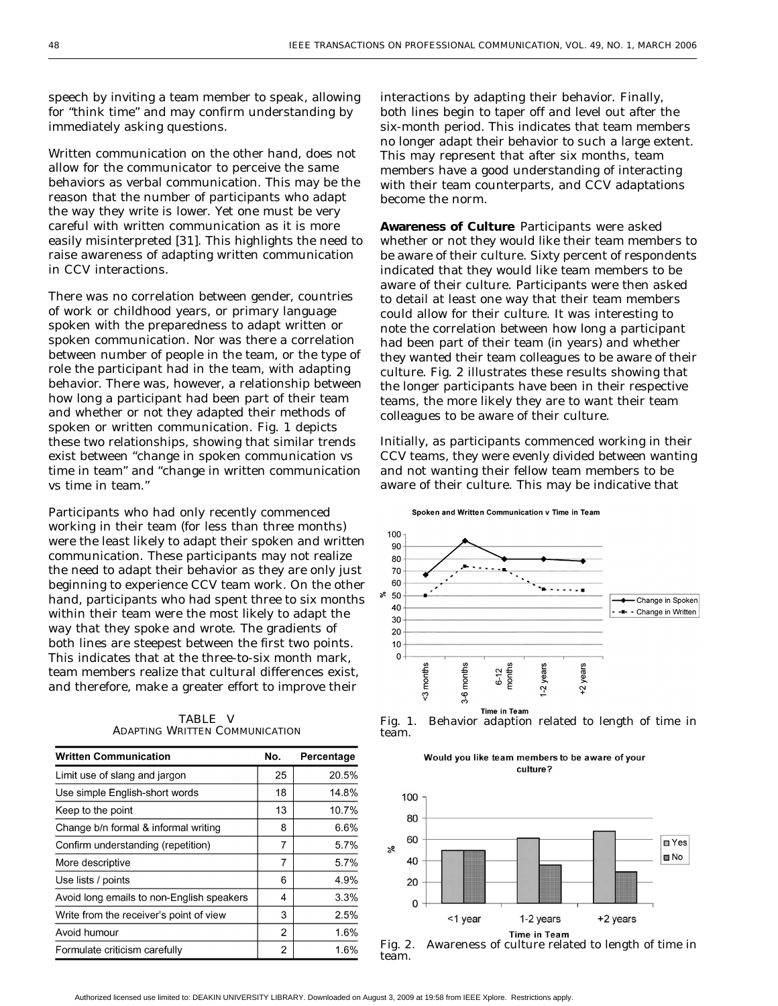speech by inviting a team member to speak, allowing for "think time" and may confirm understanding by immediately asking questions.

Written communication on the other hand, does not allow for the communicator to perceive the same behaviors as verbal communication. This may be the reason that the number of participants who adapt the way they write is lower. Yet one must be very careful with written communication as it is more easily misinterpreted [\[31\]](#page-12-0). This highlights the need to raise awareness of adapting written communication in CCV interactions.

There was no correlation between gender, countries of work or childhood years, or primary language spoken with the preparedness to adapt written or spoken communication. Nor was there a correlation between number of people in the team, or the type of role the participant had in the team, with adapting behavior. There was, however, a relationship between how long a participant had been part of their team and whether or not they adapted their methods of spoken or written communication. Fig. 1 depicts these two relationships, showing that similar trends exist between "change in spoken communication vs time in team" and "change in written communication vs time in team."

Participants who had only recently commenced working in their team (for less than three months) were the least likely to adapt their spoken and written communication. These participants may not realize the need to adapt their behavior as they are only just beginning to experience CCV team work. On the other hand, participants who had spent three to six months within their team were the most likely to adapt the way that they spoke and wrote. The gradients of both lines are steepest between the first two points. This indicates that at the three-to-six month mark, team members realize that cultural differences exist, and therefore, make a greater effort to improve their

| <b>Written Communication</b>              |    | Percentage |
|-------------------------------------------|----|------------|
| Limit use of slang and jargon             | 25 | 20.5%      |
| Use simple English-short words            | 18 | 14.8%      |
| Keep to the point                         | 13 | 10.7%      |
| Change b/n formal & informal writing      | 8  | 6.6%       |
| Confirm understanding (repetition)        | 7  | 5.7%       |
| More descriptive                          | 7  | 5.7%       |
| Use lists / points                        | 6  | 4.9%       |
| Avoid long emails to non-English speakers | 4  | 3.3%       |
| Write from the receiver's point of view   | 3  | 2.5%       |
| Avoid humour                              | 2  | 1.6%       |
| Formulate criticism carefully             | 2  | 1.6%       |

TABLE V ADAPTING WRITTEN COMMUNICATION

interactions by adapting their behavior. Finally, both lines begin to taper off and level out after the six-month period. This indicates that team members no longer adapt their behavior to such a large extent. This may represent that after six months, team members have a good understanding of interacting with their team counterparts, and CCV adaptations become the norm.

**Awareness of Culture** Participants were asked whether or not they would like their team members to be aware of their culture. Sixty percent of respondents indicated that they would like team members to be aware of their culture. Participants were then asked to detail at least one way that their team members could allow for their culture. It was interesting to note the correlation between how long a participant had been part of their team (in years) and whether they wanted their team colleagues to be aware of their culture. Fig. 2 illustrates these results showing that the longer participants have been in their respective teams, the more likely they are to want their team colleagues to be aware of their culture.

Initially, as participants commenced working in their CCV teams, they were evenly divided between wanting and not wanting their fellow team members to be aware of their culture. This may be indicative that

Spoken and Written Communication v Time in Team









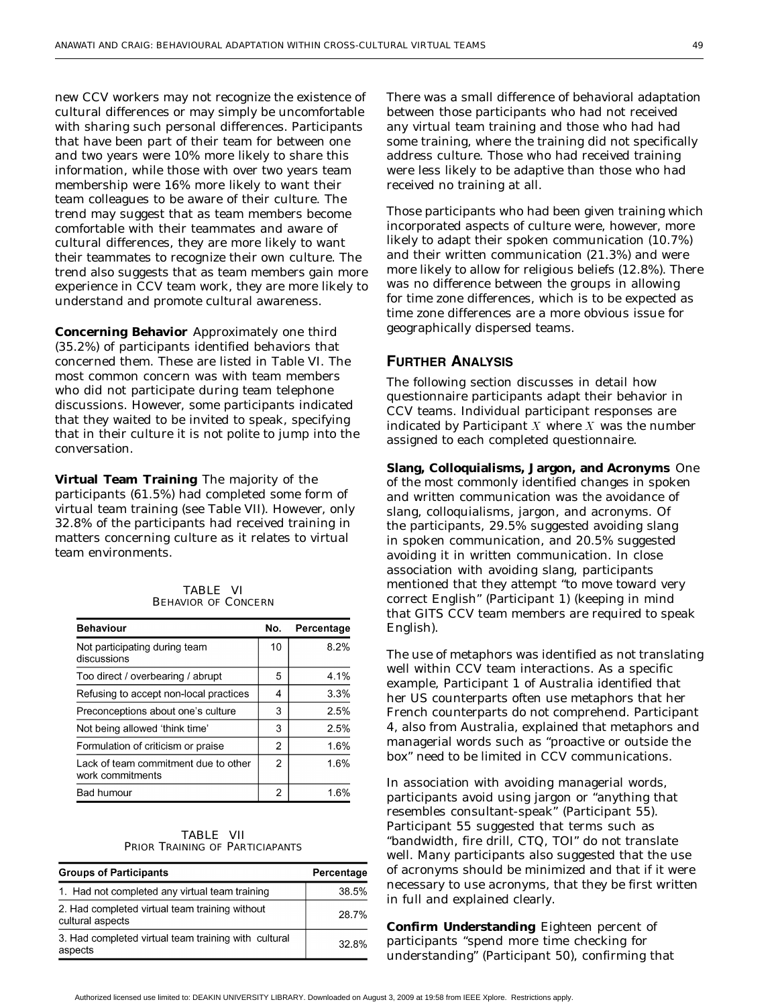new CCV workers may not recognize the existence of cultural differences or may simply be uncomfortable with sharing such personal differences. Participants that have been part of their team for between one and two years were 10% more likely to share this information, while those with over two years team membership were 16% more likely to want their team colleagues to be aware of their culture. The trend may suggest that as team members become comfortable with their teammates and aware of cultural differences, they are more likely to want their teammates to recognize their own culture. The trend also suggests that as team members gain more experience in CCV team work, they are more likely to understand and promote cultural awareness.

**Concerning Behavior** Approximately one third (35.2%) of participants identified behaviors that concerned them. These are listed in Table VI. The most common concern was with team members who did not participate during team telephone discussions. However, some participants indicated that they waited to be invited to speak, specifying that in their culture it is not polite to jump into the conversation.

**Virtual Team Training** The majority of the participants (61.5%) had completed some form of virtual team training (see Table VII). However, only 32.8% of the participants had received training in matters concerning culture as it relates to virtual team environments.

| <b>TABLE VI</b>            |  |
|----------------------------|--|
| <b>BEHAVIOR OF CONCERN</b> |  |

| <b>Behaviour</b>                                         | No.            | Percentage |
|----------------------------------------------------------|----------------|------------|
| Not participating during team<br>discussions             | 10             | 8.2%       |
| Too direct / overbearing / abrupt                        | 5              | 4.1%       |
| Refusing to accept non-local practices                   | 4              | 3.3%       |
| Preconceptions about one's culture                       | 3              | 2.5%       |
| Not being allowed 'think time'                           | 3              | 2.5%       |
| Formulation of criticism or praise                       | $\mathfrak{p}$ | 1.6%       |
| Lack of team commitment due to other<br>work commitments | 2              | 1.6%       |
| Bad humour                                               | 2              | 1.6%       |

| <b>TABLE VII</b> |                                 |
|------------------|---------------------------------|
|                  | PRIOR TRAINING OF PARTICIAPANTS |

| <b>Groups of Participants</b>                                      | Percentage |
|--------------------------------------------------------------------|------------|
| 1. Had not completed any virtual team training                     | 38.5%      |
| 2. Had completed virtual team training without<br>cultural aspects | 28.7%      |
| 3. Had completed virtual team training with cultural<br>aspects    | $32.8\%$   |

There was a small difference of behavioral adaptation between those participants who had not received any virtual team training and those who had had some training, where the training did not specifically address culture. Those who had received training were less likely to be adaptive than those who had received no training at all.

Those participants who had been given training which incorporated aspects of culture were, however, more likely to adapt their spoken communication (10.7%) and their written communication (21.3%) and were more likely to allow for religious beliefs (12.8%). There was no difference between the groups in allowing for time zone differences, which is to be expected as time zone differences are a more obvious issue for geographically dispersed teams.

#### **FURTHER ANALYSIS**

The following section discusses in detail how questionnaire participants adapt their behavior in CCV teams. Individual participant responses are indicated by Participant  $X$  where  $X$  was the number assigned to each completed questionnaire.

**Slang, Colloquialisms, Jargon, and Acronyms** One of the most commonly identified changes in spoken and written communication was the avoidance of slang, colloquialisms, jargon, and acronyms. Of the participants, 29.5% suggested avoiding slang in spoken communication, and 20.5% suggested avoiding it in written communication. In close association with avoiding slang, participants mentioned that they attempt "to move toward very correct English" (Participant 1) (keeping in mind that GITS CCV team members are required to speak English).

The use of metaphors was identified as not translating well within CCV team interactions. As a specific example, Participant 1 of Australia identified that her US counterparts often use metaphors that her French counterparts do not comprehend. Participant 4, also from Australia, explained that metaphors and managerial words such as "proactive or outside the box" need to be limited in CCV communications.

In association with avoiding managerial words, participants avoid using jargon or "anything that resembles consultant-speak" (Participant 55). Participant 55 suggested that terms such as "bandwidth, fire drill, CTQ, TOI" do not translate well. Many participants also suggested that the use of acronyms should be minimized and that if it were necessary to use acronyms, that they be first written in full and explained clearly.

**Confirm Understanding** Eighteen percent of participants "spend more time checking for understanding" (Participant 50), confirming that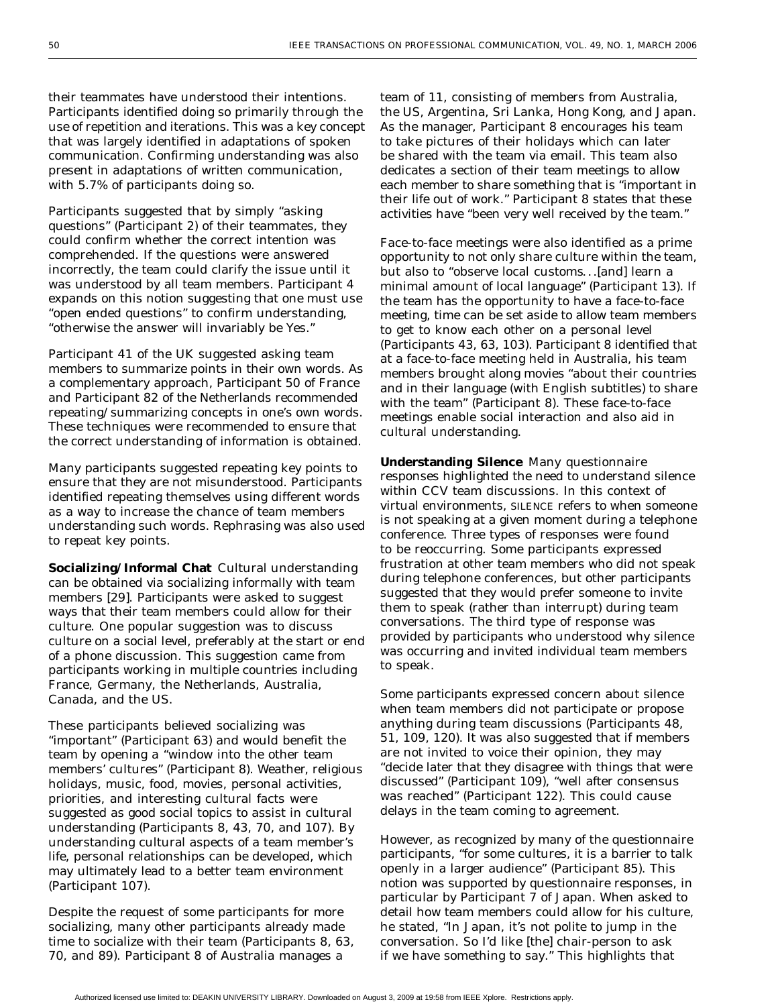their teammates have understood their intentions. Participants identified doing so primarily through the use of repetition and iterations. This was a key concept that was largely identified in adaptations of spoken communication. Confirming understanding was also present in adaptations of written communication, with 5.7% of participants doing so.

Participants suggested that by simply "asking questions" (Participant 2) of their teammates, they could confirm whether the correct intention was comprehended. If the questions were answered incorrectly, the team could clarify the issue until it was understood by all team members. Participant 4 expands on this notion suggesting that one must use "open ended questions" to confirm understanding, "otherwise the answer will invariably be Yes."

Participant 41 of the UK suggested asking team members to summarize points in their own words. As a complementary approach, Participant 50 of France and Participant 82 of the Netherlands recommended repeating/summarizing concepts in one's own words. These techniques were recommended to ensure that the correct understanding of information is obtained.

Many participants suggested repeating key points to ensure that they are not misunderstood. Participants identified repeating themselves using different words as a way to increase the chance of team members understanding such words. Rephrasing was also used to repeat key points.

**Socializing/Informal Chat** Cultural understanding can be obtained via socializing informally with team members [\[29\]](#page-12-0). Participants were asked to suggest ways that their team members could allow for their culture. One popular suggestion was to discuss culture on a social level, preferably at the start or end of a phone discussion. This suggestion came from participants working in multiple countries including France, Germany, the Netherlands, Australia, Canada, and the US.

These participants believed socializing was "important" (Participant 63) and would benefit the team by opening a "window into the other team members' cultures" (Participant 8). Weather, religious holidays, music, food, movies, personal activities, priorities, and interesting cultural facts were suggested as good social topics to assist in cultural understanding (Participants 8, 43, 70, and 107). By understanding cultural aspects of a team member's life, personal relationships can be developed, which may ultimately lead to a better team environment (Participant 107).

Despite the request of some participants for more socializing, many other participants already made time to socialize with their team (Participants 8, 63, 70, and 89). Participant 8 of Australia manages a

team of 11, consisting of members from Australia, the US, Argentina, Sri Lanka, Hong Kong, and Japan. As the manager, Participant 8 encourages his team to take pictures of their holidays which can later be shared with the team via email. This team also dedicates a section of their team meetings to allow each member to share something that is "important in their life out of work." Participant 8 states that these activities have "been very well received by the team."

Face-to-face meetings were also identified as a prime opportunity to not only share culture within the team, but also to "observe local customs...[and] learn a minimal amount of local language" (Participant 13). If the team has the opportunity to have a face-to-face meeting, time can be set aside to allow team members to get to know each other on a personal level (Participants 43, 63, 103). Participant 8 identified that at a face-to-face meeting held in Australia, his team members brought along movies "about their countries and in their language (with English subtitles) to share with the team" (Participant 8). These face-to-face meetings enable social interaction and also aid in cultural understanding.

**Understanding Silence** Many questionnaire responses highlighted the need to understand silence within CCV team discussions. In this context of virtual environments, SILENCE refers to when someone is not speaking at a given moment during a telephone conference. Three types of responses were found to be reoccurring. Some participants expressed frustration at other team members who did not speak during telephone conferences, but other participants suggested that they would prefer someone to invite them to speak (rather than interrupt) during team conversations. The third type of response was provided by participants who understood why silence was occurring and invited individual team members to speak.

Some participants expressed concern about silence when team members did not participate or propose anything during team discussions (Participants 48, 51, 109, 120). It was also suggested that if members are not invited to voice their opinion, they may "decide later that they disagree with things that were discussed" (Participant 109), "well after consensus was reached" (Participant 122). This could cause delays in the team coming to agreement.

However, as recognized by many of the questionnaire participants, "for some cultures, it is a barrier to talk openly in a larger audience" (Participant 85). This notion was supported by questionnaire responses, in particular by Participant 7 of Japan. When asked to detail how team members could allow for his culture, he stated, "In Japan, it's not polite to jump in the conversation. So I'd like [the] chair-person to ask if we have something to say." This highlights that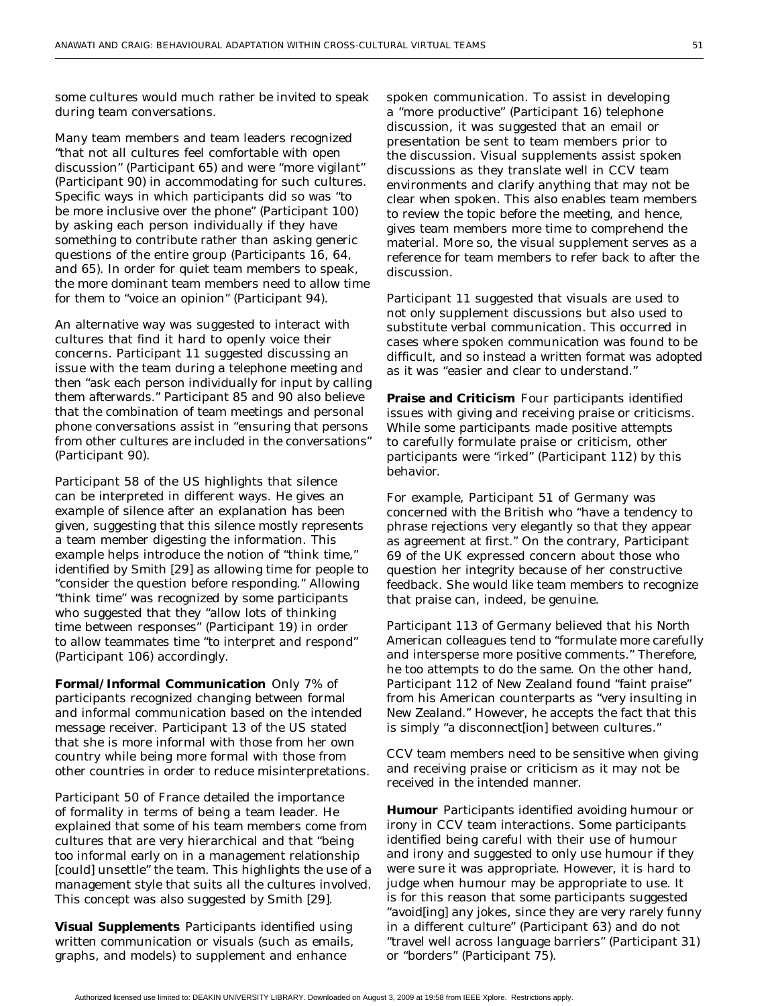some cultures would much rather be invited to speak during team conversations.

Many team members and team leaders recognized "that not all cultures feel comfortable with open discussion" (Participant 65) and were "more vigilant" (Participant 90) in accommodating for such cultures. Specific ways in which participants did so was "to be more inclusive over the phone" (Participant 100) by asking each person individually if they have something to contribute rather than asking generic questions of the entire group (Participants 16, 64, and 65). In order for quiet team members to speak, the more dominant team members need to allow time for them to "voice an opinion" (Participant 94).

An alternative way was suggested to interact with cultures that find it hard to openly voice their concerns. Participant 11 suggested discussing an issue with the team during a telephone meeting and then "ask each person individually for input by calling them afterwards." Participant 85 and 90 also believe that the combination of team meetings and personal phone conversations assist in "ensuring that persons from other cultures are included in the conversations" (Participant 90).

Participant 58 of the US highlights that silence can be interpreted in different ways. He gives an example of silence after an explanation has been given, suggesting that this silence mostly represents a team member digesting the information. This example helps introduce the notion of "think time," identified by Smith [\[29\]](#page-12-0) as allowing time for people to "consider the question before responding." Allowing "think time" was recognized by some participants who suggested that they "allow lots of thinking time between responses" (Participant 19) in order to allow teammates time "to interpret and respond" (Participant 106) accordingly.

**Formal/Informal Communication** Only 7% of participants recognized changing between formal and informal communication based on the intended message receiver. Participant 13 of the US stated that she is more informal with those from her own country while being more formal with those from other countries in order to reduce misinterpretations.

Participant 50 of France detailed the importance of formality in terms of being a team leader. He explained that some of his team members come from cultures that are very hierarchical and that "being too informal early on in a management relationship [could] unsettle" the team. This highlights the use of a management style that suits all the cultures involved. This concept was also suggested by Smith [\[29](#page-12-0)].

**Visual Supplements** Participants identified using written communication or visuals (such as emails, graphs, and models) to supplement and enhance

spoken communication. To assist in developing a "more productive" (Participant 16) telephone discussion, it was suggested that an email or presentation be sent to team members prior to the discussion. Visual supplements assist spoken discussions as they translate well in CCV team environments and clarify anything that may not be clear when spoken. This also enables team members to review the topic before the meeting, and hence, gives team members more time to comprehend the material. More so, the visual supplement serves as a reference for team members to refer back to after the discussion.

Participant 11 suggested that visuals are used to not only supplement discussions but also used to substitute verbal communication. This occurred in cases where spoken communication was found to be difficult, and so instead a written format was adopted as it was "easier and clear to understand."

**Praise and Criticism** Four participants identified issues with giving and receiving praise or criticisms. While some participants made positive attempts to carefully formulate praise or criticism, other participants were "irked" (Participant 112) by this behavior.

For example, Participant 51 of Germany was concerned with the British who "have a tendency to phrase rejections very elegantly so that they appear as agreement at first." On the contrary, Participant 69 of the UK expressed concern about those who question her integrity because of her constructive feedback. She would like team members to recognize that praise can, indeed, be genuine.

Participant 113 of Germany believed that his North American colleagues tend to "formulate more carefully and intersperse more positive comments." Therefore, he too attempts to do the same. On the other hand, Participant 112 of New Zealand found "faint praise" from his American counterparts as "very insulting in New Zealand." However, he accepts the fact that this is simply "a disconnect[ion] between cultures."

CCV team members need to be sensitive when giving and receiving praise or criticism as it may not be received in the intended manner.

**Humour** Participants identified avoiding humour or irony in CCV team interactions. Some participants identified being careful with their use of humour and irony and suggested to only use humour if they were sure it was appropriate. However, it is hard to judge when humour may be appropriate to use. It is for this reason that some participants suggested "avoid[ing] any jokes, since they are very rarely funny in a different culture" (Participant 63) and do not "travel well across language barriers" (Participant 31) or "borders" (Participant 75).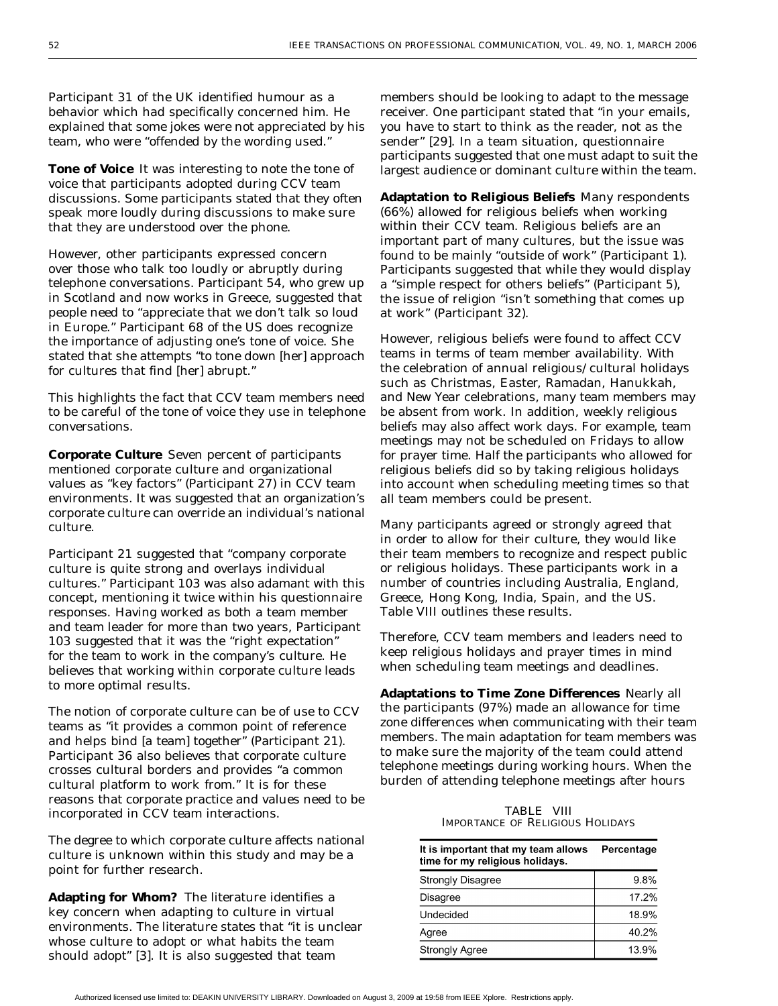Participant 31 of the UK identified humour as a behavior which had specifically concerned him. He explained that some jokes were not appreciated by his team, who were "offended by the wording used."

**Tone of Voice** It was interesting to note the tone of voice that participants adopted during CCV team discussions. Some participants stated that they often speak more loudly during discussions to make sure that they are understood over the phone.

However, other participants expressed concern over those who talk too loudly or abruptly during telephone conversations. Participant 54, who grew up in Scotland and now works in Greece, suggested that people need to "appreciate that we don't talk so loud in Europe." Participant 68 of the US does recognize the importance of adjusting one's tone of voice. She stated that she attempts "to tone down [her] approach for cultures that find [her] abrupt."

This highlights the fact that CCV team members need to be careful of the tone of voice they use in telephone conversations.

**Corporate Culture** Seven percent of participants mentioned corporate culture and organizational values as "key factors" (Participant 27) in CCV team environments. It was suggested that an organization's corporate culture can override an individual's national culture.

Participant 21 suggested that "company corporate culture is quite strong and overlays individual cultures." Participant 103 was also adamant with this concept, mentioning it twice within his questionnaire responses. Having worked as both a team member and team leader for more than two years, Participant 103 suggested that it was the "right expectation" for the team to work in the company's culture. He believes that working within corporate culture leads to more optimal results.

The notion of corporate culture can be of use to CCV teams as "it provides a common point of reference and helps bind [a team] together" (Participant 21). Participant 36 also believes that corporate culture crosses cultural borders and provides "a common cultural platform to work from." It is for these reasons that corporate practice and values need to be incorporated in CCV team interactions.

The degree to which corporate culture affects national culture is unknown within this study and may be a point for further research.

**Adapting for Whom?** The literature identifies a key concern when adapting to culture in virtual environments. The literature states that "it is unclear whose culture to adopt or what habits the team should adopt" [[3\]](#page-11-0). It is also suggested that team

members should be looking to adapt to the message receiver. One participant stated that "in your emails, you have to start to think as the reader, not as the sender" [[29](#page-12-0)]. In a team situation, questionnaire participants suggested that one must adapt to suit the largest audience or dominant culture within the team.

**Adaptation to Religious Beliefs** Many respondents (66%) allowed for religious beliefs when working within their CCV team. Religious beliefs are an important part of many cultures, but the issue was found to be mainly "outside of work" (Participant 1). Participants suggested that while they would display a "simple respect for others beliefs" (Participant 5), the issue of religion "isn't something that comes up at work" (Participant 32).

However, religious beliefs were found to affect CCV teams in terms of team member availability. With the celebration of annual religious/cultural holidays such as Christmas, Easter, Ramadan, Hanukkah, and New Year celebrations, many team members may be absent from work. In addition, weekly religious beliefs may also affect work days. For example, team meetings may not be scheduled on Fridays to allow for prayer time. Half the participants who allowed for religious beliefs did so by taking religious holidays into account when scheduling meeting times so that all team members could be present.

Many participants agreed or strongly agreed that in order to allow for their culture, they would like their team members to recognize and respect public or religious holidays. These participants work in a number of countries including Australia, England, Greece, Hong Kong, India, Spain, and the US. Table VIII outlines these results.

Therefore, CCV team members and leaders need to keep religious holidays and prayer times in mind when scheduling team meetings and deadlines.

**Adaptations to Time Zone Differences** Nearly all the participants (97%) made an allowance for time zone differences when communicating with their team members. The main adaptation for team members was to make sure the majority of the team could attend telephone meetings during working hours. When the burden of attending telephone meetings after hours

TABLE VIII IMPORTANCE OF RELIGIOUS HOLIDAYS

| It is important that my team allows<br>time for my religious holidays. | Percentage |
|------------------------------------------------------------------------|------------|
| <b>Strongly Disagree</b>                                               | 9.8%       |
| <b>Disagree</b>                                                        | 17.2%      |
| Undecided                                                              | 18.9%      |
| Agree                                                                  | 40.2%      |
| <b>Strongly Agree</b>                                                  | 13.9%      |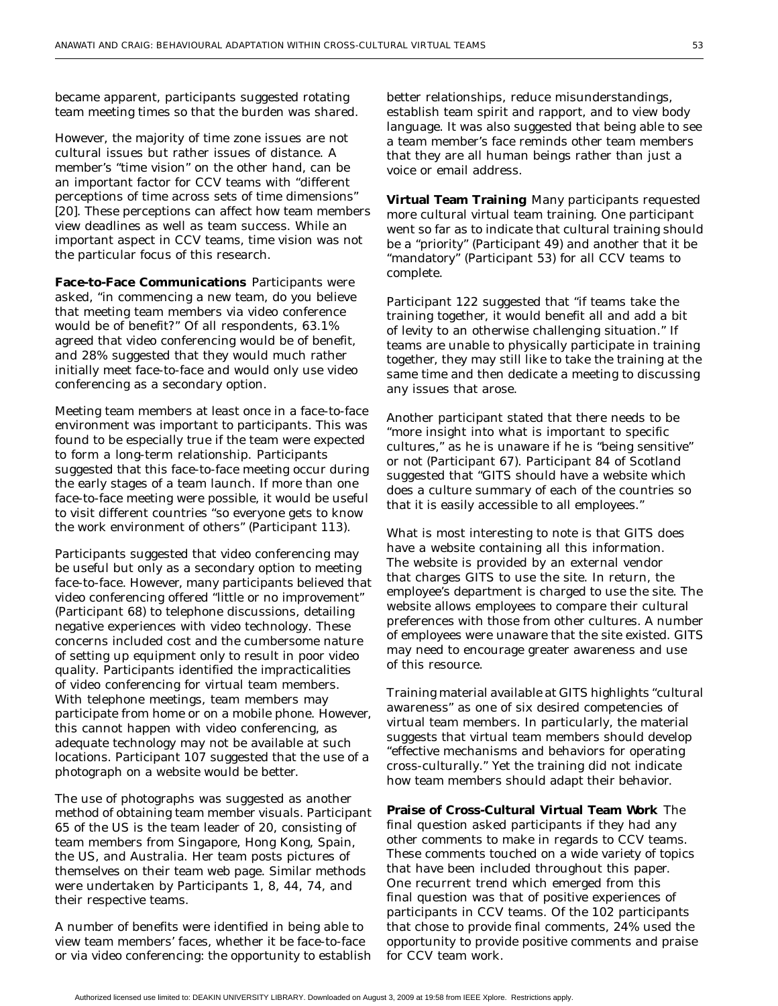became apparent, participants suggested rotating team meeting times so that the burden was shared.

However, the majority of time zone issues are not cultural issues but rather issues of distance. A member's "time vision" on the other hand, can be an important factor for CCV teams with "different perceptions of time across sets of time dimensions" [\[20\]](#page-11-0). These perceptions can affect how team members view deadlines as well as team success. While an important aspect in CCV teams, time vision was not the particular focus of this research.

**Face-to-Face Communications** Participants were asked, "in commencing a new team, do you believe that meeting team members via video conference would be of benefit?" Of all respondents, 63.1% agreed that video conferencing would be of benefit, and 28% suggested that they would much rather initially meet face-to-face and would only use video conferencing as a secondary option.

Meeting team members at least once in a face-to-face environment was important to participants. This was found to be especially true if the team were expected to form a long-term relationship. Participants suggested that this face-to-face meeting occur during the early stages of a team launch. If more than one face-to-face meeting were possible, it would be useful to visit different countries "so everyone gets to know the work environment of others" (Participant 113).

Participants suggested that video conferencing may be useful but only as a secondary option to meeting face-to-face. However, many participants believed that video conferencing offered "little or no improvement" (Participant 68) to telephone discussions, detailing negative experiences with video technology. These concerns included cost and the cumbersome nature of setting up equipment only to result in poor video quality. Participants identified the impracticalities of video conferencing for virtual team members. With telephone meetings, team members may participate from home or on a mobile phone. However, this cannot happen with video conferencing, as adequate technology may not be available at such locations. Participant 107 suggested that the use of a photograph on a website would be better.

The use of photographs was suggested as another method of obtaining team member visuals. Participant 65 of the US is the team leader of 20, consisting of team members from Singapore, Hong Kong, Spain, the US, and Australia. Her team posts pictures of themselves on their team web page. Similar methods were undertaken by Participants 1, 8, 44, 74, and their respective teams.

A number of benefits were identified in being able to view team members' faces, whether it be face-to-face or via video conferencing: the opportunity to establish better relationships, reduce misunderstandings, establish team spirit and rapport, and to view body language. It was also suggested that being able to see a team member's face reminds other team members that they are all human beings rather than just a voice or email address.

**Virtual Team Training** Many participants requested more cultural virtual team training. One participant went so far as to indicate that cultural training should be a "priority" (Participant 49) and another that it be "mandatory" (Participant 53) for all CCV teams to complete.

Participant 122 suggested that "if teams take the training together, it would benefit all and add a bit of levity to an otherwise challenging situation." If teams are unable to physically participate in training together, they may still like to take the training at the same time and then dedicate a meeting to discussing any issues that arose.

Another participant stated that there needs to be "more insight into what is important to specific cultures," as he is unaware if he is "being sensitive" or not (Participant 67). Participant 84 of Scotland suggested that "GITS should have a website which does a culture summary of each of the countries so that it is easily accessible to all employees."

What is most interesting to note is that GITS does have a website containing all this information. The website is provided by an external vendor that charges GITS to use the site. In return, the employee's department is charged to use the site. The website allows employees to compare their cultural preferences with those from other cultures. A number of employees were unaware that the site existed. GITS may need to encourage greater awareness and use of this resource.

Training material available at GITS highlights "cultural awareness" as one of six desired competencies of virtual team members. In particularly, the material suggests that virtual team members should develop "effective mechanisms and behaviors for operating cross-culturally." Yet the training did not indicate how team members should adapt their behavior.

**Praise of Cross-Cultural Virtual Team Work** The final question asked participants if they had any other comments to make in regards to CCV teams. These comments touched on a wide variety of topics that have been included throughout this paper. One recurrent trend which emerged from this final question was that of positive experiences of participants in CCV teams. Of the 102 participants that chose to provide final comments, 24% used the opportunity to provide positive comments and praise for CCV team work.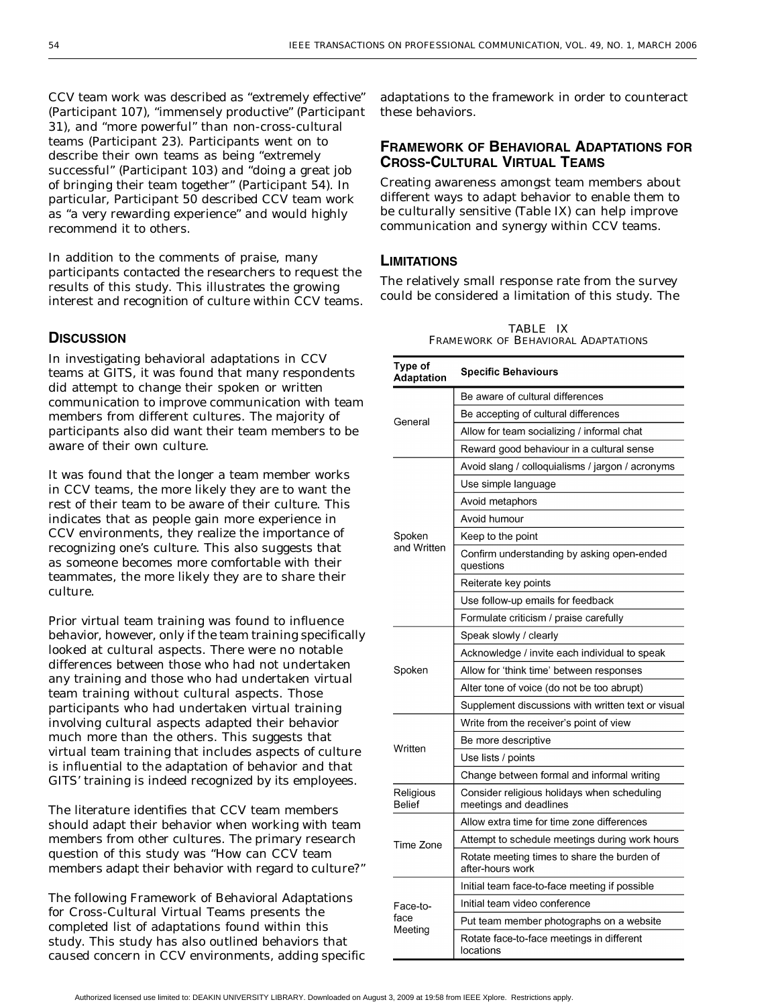CCV team work was described as "extremely effective" (Participant 107), "immensely productive" (Participant 31), and "more powerful" than non-cross-cultural teams (Participant 23). Participants went on to describe their own teams as being "extremely successful" (Participant 103) and "doing a great job of bringing their team together" (Participant 54). In particular, Participant 50 described CCV team work as "a very rewarding experience" and would highly recommend it to others.

In addition to the comments of praise, many participants contacted the researchers to request the results of this study. This illustrates the growing interest and recognition of culture within CCV teams.

### **DISCUSSION**

In investigating behavioral adaptations in CCV teams at GITS, it was found that many respondents did attempt to change their spoken or written communication to improve communication with team members from different cultures. The majority of participants also did want their team members to be aware of their own culture.

It was found that the longer a team member works in CCV teams, the more likely they are to want the rest of their team to be aware of their culture. This indicates that as people gain more experience in CCV environments, they realize the importance of recognizing one's culture. This also suggests that as someone becomes more comfortable with their teammates, the more likely they are to share their culture.

Prior virtual team training was found to influence behavior, however, only if the team training specifically looked at cultural aspects. There were no notable differences between those who had not undertaken any training and those who had undertaken virtual team training without cultural aspects. Those participants who had undertaken virtual training involving cultural aspects adapted their behavior much more than the others. This suggests that virtual team training that includes aspects of culture is influential to the adaptation of behavior and that GITS' training is indeed recognized by its employees.

The literature identifies that CCV team members should adapt their behavior when working with team members from other cultures. The primary research question of this study was "How can CCV team members adapt their behavior with regard to culture?"

The following Framework of Behavioral Adaptations for Cross-Cultural Virtual Teams presents the completed list of adaptations found within this study. This study has also outlined behaviors that caused concern in CCV environments, adding specific

adaptations to the framework in order to counteract these behaviors.

## **FRAMEWORK OF BEHAVIORAL ADAPTATIONS FOR CROSS-CULTURAL VIRTUAL TEAMS**

Creating awareness amongst team members about different ways to adapt behavior to enable them to be culturally sensitive (Table IX) can help improve communication and synergy within CCV teams.

### **LIMITATIONS**

The relatively small response rate from the survey could be considered a limitation of this study. The

TABLE IX FRAMEWORK OF BEHAVIORAL ADAPTATIONS

| Type of<br>Adaptation      | <b>Specific Behaviours</b>                                            |
|----------------------------|-----------------------------------------------------------------------|
|                            | Be aware of cultural differences                                      |
| General                    | Be accepting of cultural differences                                  |
|                            | Allow for team socializing / informal chat                            |
|                            | Reward good behaviour in a cultural sense                             |
|                            | Avoid slang / colloquialisms / jargon / acronyms                      |
|                            | Use simple language                                                   |
|                            | Avoid metaphors                                                       |
|                            | Avoid humour                                                          |
| Spoken                     | Keep to the point                                                     |
| and Written                | Confirm understanding by asking open-ended<br>questions               |
|                            | Reiterate key points                                                  |
|                            | Use follow-up emails for feedback                                     |
|                            | Formulate criticism / praise carefully                                |
|                            | Speak slowly / clearly                                                |
|                            | Acknowledge / invite each individual to speak                         |
| Spoken                     | Allow for 'think time' between responses                              |
|                            | Alter tone of voice (do not be too abrupt)                            |
|                            | Supplement discussions with written text or visual                    |
|                            | Write from the receiver's point of view                               |
| Written                    | Be more descriptive                                                   |
|                            | Use lists / points                                                    |
|                            | Change between formal and informal writing                            |
| Religious<br><b>Belief</b> | Consider religious holidays when scheduling<br>meetings and deadlines |
|                            | Allow extra time for time zone differences                            |
| Time Zone                  | Attempt to schedule meetings during work hours                        |
|                            | Rotate meeting times to share the burden of<br>after-hours work       |
|                            | Initial team face-to-face meeting if possible                         |
| Face-to-                   | Initial team video conference                                         |
| face                       | Put team member photographs on a website                              |
| Meeting                    | Rotate face-to-face meetings in different<br>locations                |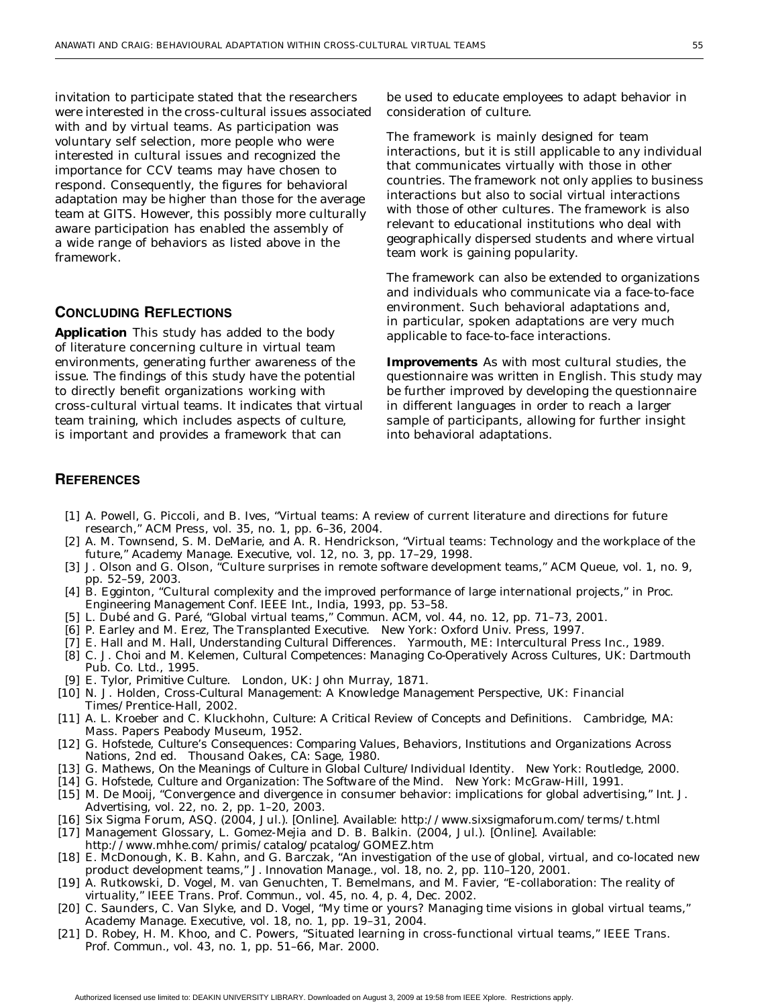<span id="page-11-0"></span>invitation to participate stated that the researchers were interested in the cross-cultural issues associated with and by virtual teams. As participation was voluntary self selection, more people who were interested in cultural issues and recognized the importance for CCV teams may have chosen to respond. Consequently, the figures for behavioral adaptation may be higher than those for the average team at GITS. However, this possibly more culturally aware participation has enabled the assembly of a wide range of behaviors as listed above in the framework.

#### **CONCLUDING REFLECTIONS**

**Application** This study has added to the body of literature concerning culture in virtual team environments, generating further awareness of the issue. The findings of this study have the potential to directly benefit organizations working with cross-cultural virtual teams. It indicates that virtual team training, which includes aspects of culture, is important and provides a framework that can

be used to educate employees to adapt behavior in consideration of culture.

The framework is mainly designed for team interactions, but it is still applicable to any individual that communicates virtually with those in other countries. The framework not only applies to business interactions but also to social virtual interactions with those of other cultures. The framework is also relevant to educational institutions who deal with geographically dispersed students and where virtual team work is gaining popularity.

The framework can also be extended to organizations and individuals who communicate via a face-to-face environment. Such behavioral adaptations and, in particular, spoken adaptations are very much applicable to face-to-face interactions.

**Improvements** As with most cultural studies, the questionnaire was written in English. This study may be further improved by developing the questionnaire in different languages in order to reach a larger sample of participants, allowing for further insight into behavioral adaptations.

#### **REFERENCES**

- [1] A. Powell, G. Piccoli, and B. Ives, "Virtual teams: A review of current literature and directions for future research," *ACM Press*, vol. 35, no. 1, pp. 6–36, 2004.
- [2] A. M. Townsend, S. M. DeMarie, and A. R. Hendrickson, "Virtual teams: Technology and the workplace of the future," *Academy Manage. Executive*, vol. 12, no. 3, pp. 17–29, 1998.
- [3] J. Olson and G. Olson, "Culture surprises in remote software development teams," *ACM Queue*, vol. 1, no. 9, pp. 52–59, 2003.
- [4] B. Egginton, "Cultural complexity and the improved performance of large international projects," in *Proc. Engineering Management Conf. IEEE Int.*, India, 1993, pp. 53–58.
- [5] L. Dubé and G. Paré, "Global virtual teams," *Commun. ACM*, vol. 44, no. 12, pp. 71–73, 2001.
- [6] P. Earley and M. Erez, *The Transplanted Executive*. New York: Oxford Univ. Press, 1997.
- [7] E. Hall and M. Hall, *Understanding Cultural Differences*. Yarmouth, ME: Intercultural Press Inc., 1989.
- [8] C. J. Choi and M. Kelemen, *Cultural Competences: Managing Co-Operatively Across Cultures*, UK: Dartmouth Pub. Co. Ltd., 1995.
- [9] E. Tylor, *Primitive Culture*. London, UK: John Murray, 1871.
- [10] N. J. Holden, *Cross-Cultural Management: A Knowledge Management Perspective*, UK: Financial Times/Prentice-Hall, 2002.
- [11] A. L. Kroeber and C. Kluckhohn, *Culture: A Critical Review of Concepts and Definitions*. Cambridge, MA: Mass. Papers Peabody Museum, 1952.
- [12] G. Hofstede, *Culture's Consequences: Comparing Values, Behaviors, Institutions and Organizations Across Nations*, 2nd ed. Thousand Oakes, CA: Sage, 1980.
- [13] G. Mathews, *On the Meanings of Culture in Global Culture/Individual Identity*. New York: Routledge, 2000.
- [14] G. Hofstede, *Culture and Organization: The Software of the Mind*. New York: McGraw-Hill, 1991.
- [15] M. De Mooij, "Convergence and divergence in consumer behavior: implications for global advertising," *Int. J. Advertising*, vol. 22, no. 2, pp. 1–20, 2003.
- [16] Six Sigma Forum, ASQ. (2004, Jul.). [Online]. Available: http://www.sixsigmaforum.com/terms/t.html
- [17] Management Glossary, L. Gomez-Mejia and D. B. Balkin. (2004, Jul.). [Online]. Available: http://www.mhhe.com/primis/catalog/pcatalog/GOMEZ.htm
- [18] E. McDonough, K. B. Kahn, and G. Barczak, "An investigation of the use of global, virtual, and co-located new product development teams," *J. Innovation Manage.*, vol. 18, no. 2, pp. 110–120, 2001.
- [19] A. Rutkowski, D. Vogel, M. van Genuchten, T. Bemelmans, and M. Favier, "E-collaboration: The reality of virtuality," *IEEE Trans. Prof. Commun.*, vol. 45, no. 4, p. 4, Dec. 2002.
- [20] C. Saunders, C. Van Slyke, and D. Vogel, "My time or yours? Managing time visions in global virtual teams," *Academy Manage. Executive*, vol. 18, no. 1, pp. 19–31, 2004.
- [21] D. Robey, H. M. Khoo, and C. Powers, "Situated learning in cross-functional virtual teams," *IEEE Trans. Prof. Commun.*, vol. 43, no. 1, pp. 51–66, Mar. 2000.